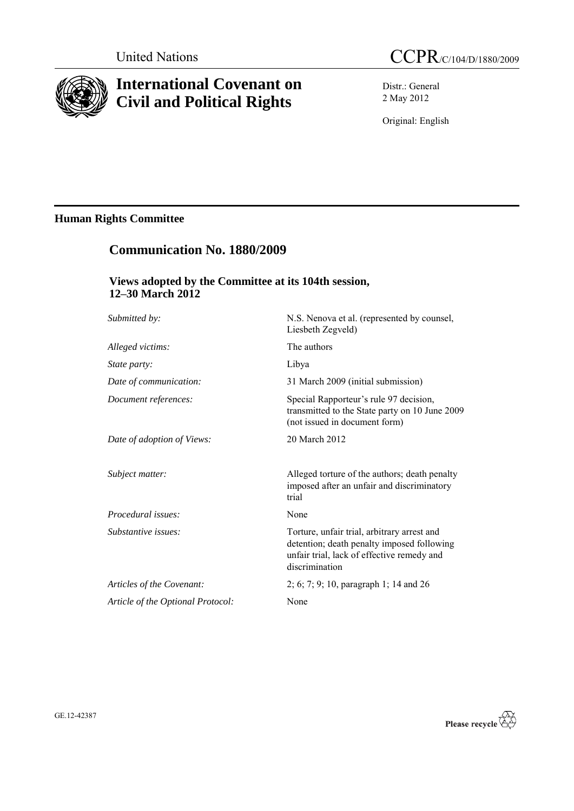

## **International Covenant on Civil and Political Rights**

Distr.: General 2 May 2012

Original: English

## **Human Rights Committee**

# **Communication No. 1880/2009 Views adopted by the Committee at its 104th session,**

**12–30 March 2012**

| Submitted by:                     | N.S. Nenova et al. (represented by counsel,<br>Liesbeth Zegveld)                                                                                          |
|-----------------------------------|-----------------------------------------------------------------------------------------------------------------------------------------------------------|
| Alleged victims:                  | The authors                                                                                                                                               |
| <i>State party:</i>               | Libya                                                                                                                                                     |
| Date of communication:            | 31 March 2009 (initial submission)                                                                                                                        |
| Document references:              | Special Rapporteur's rule 97 decision,<br>transmitted to the State party on 10 June 2009<br>(not issued in document form)                                 |
| Date of adoption of Views:        | 20 March 2012                                                                                                                                             |
| Subject matter:                   | Alleged torture of the authors; death penalty<br>imposed after an unfair and discriminatory<br>trial                                                      |
| Procedural issues:                | None                                                                                                                                                      |
| Substantive issues:               | Torture, unfair trial, arbitrary arrest and<br>detention; death penalty imposed following<br>unfair trial, lack of effective remedy and<br>discrimination |
| Articles of the Covenant:         | $2; 6; 7; 9; 10$ , paragraph 1; 14 and 26                                                                                                                 |
| Article of the Optional Protocol: | None                                                                                                                                                      |

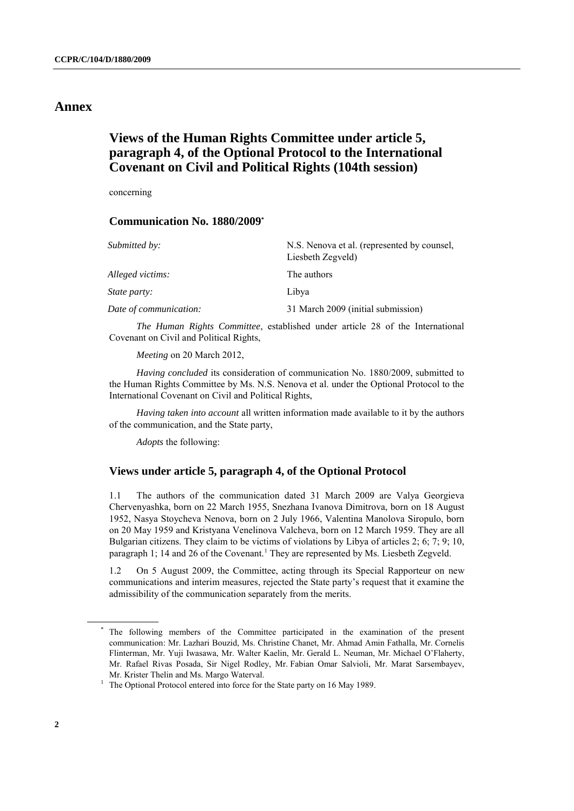#### **Annex**

### **Views of the Human Rights Committee under article 5, paragraph 4, of the Optional Protocol to the International Covenant on Civil and Political Rights (104th session)**

concerning

#### **Communication No. 1880/2009\***

| Submitted by:          | N.S. Nenova et al. (represented by counsel,<br>Liesbeth Zegveld) |
|------------------------|------------------------------------------------------------------|
| Alleged victims:       | The authors                                                      |
| <i>State party:</i>    | Libya                                                            |
| Date of communication: | 31 March 2009 (initial submission)                               |

*The Human Rights Committee*, established under article 28 of the International Covenant on Civil and Political Rights,

*Meeting* on 20 March 2012,

*Having concluded* its consideration of communication No. 1880/2009, submitted to the Human Rights Committee by Ms. N.S. Nenova et al. under the Optional Protocol to the International Covenant on Civil and Political Rights,

*Having taken into account* all written information made available to it by the authors of the communication, and the State party,

*Adopts* the following:

#### **Views under article 5, paragraph 4, of the Optional Protocol**

1.1 The authors of the communication dated 31 March 2009 are Valya Georgieva Chervenyashka, born on 22 March 1955, Snezhana Ivanova Dimitrova, born on 18 August 1952, Nasya Stoycheva Nenova, born on 2 July 1966, Valentina Manolova Siropulo, born on 20 May 1959 and Kristyana Venelinova Valcheva, born on 12 March 1959. They are all Bulgarian citizens. They claim to be victims of violations by Libya of articles 2; 6; 7; 9; 10, paragraph 1; 14 and 26 of the Covenant.<sup>1</sup> They are represented by Ms. Liesbeth Zegveld.

1.2 On 5 August 2009, the Committee, acting through its Special Rapporteur on new communications and interim measures, rejected the State party's request that it examine the admissibility of the communication separately from the merits.

The following members of the Committee participated in the examination of the present communication: Mr. Lazhari Bouzid, Ms. Christine Chanet, Mr. Ahmad Amin Fathalla, Mr. Cornelis Flinterman, Mr. Yuji Iwasawa, Mr. Walter Kaelin, Mr. Gerald L. Neuman, Mr. Michael O'Flaherty, Mr. Rafael Rivas Posada, Sir Nigel Rodley, Mr. Fabian Omar Salvioli, Mr. Marat Sarsembayev, Mr. Krister Thelin and Ms. Margo Waterval.

<sup>&</sup>lt;sup>1</sup> The Optional Protocol entered into force for the State party on 16 May 1989.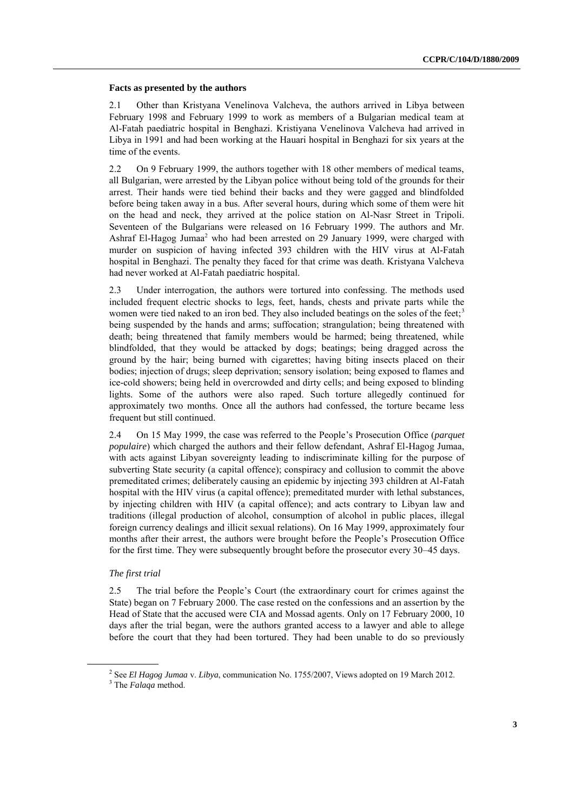#### **Facts as presented by the authors**

2.1 Other than Kristyana Venelinova Valcheva, the authors arrived in Libya between February 1998 and February 1999 to work as members of a Bulgarian medical team at Al-Fatah paediatric hospital in Benghazi. Kristiyana Venelinova Valcheva had arrived in Libya in 1991 and had been working at the Hauari hospital in Benghazi for six years at the time of the events.

2.2 On 9 February 1999, the authors together with 18 other members of medical teams, all Bulgarian, were arrested by the Libyan police without being told of the grounds for their arrest. Their hands were tied behind their backs and they were gagged and blindfolded before being taken away in a bus. After several hours, during which some of them were hit on the head and neck, they arrived at the police station on Al-Nasr Street in Tripoli. Seventeen of the Bulgarians were released on 16 February 1999. The authors and Mr. Ashraf El-Hagog Jumaa<sup>2</sup> who had been arrested on 29 January 1999, were charged with murder on suspicion of having infected 393 children with the HIV virus at Al-Fatah hospital in Benghazi. The penalty they faced for that crime was death. Kristyana Valcheva had never worked at Al-Fatah paediatric hospital.

2.3 Under interrogation, the authors were tortured into confessing. The methods used included frequent electric shocks to legs, feet, hands, chests and private parts while the women were tied naked to an iron bed. They also included beatings on the soles of the feet;<sup>3</sup> being suspended by the hands and arms; suffocation; strangulation; being threatened with death; being threatened that family members would be harmed; being threatened, while blindfolded, that they would be attacked by dogs; beatings; being dragged across the ground by the hair; being burned with cigarettes; having biting insects placed on their bodies; injection of drugs; sleep deprivation; sensory isolation; being exposed to flames and ice-cold showers; being held in overcrowded and dirty cells; and being exposed to blinding lights. Some of the authors were also raped. Such torture allegedly continued for approximately two months. Once all the authors had confessed, the torture became less frequent but still continued.

2.4 On 15 May 1999, the case was referred to the People's Prosecution Office (*parquet populaire*) which charged the authors and their fellow defendant, Ashraf El-Hagog Jumaa, with acts against Libyan sovereignty leading to indiscriminate killing for the purpose of subverting State security (a capital offence); conspiracy and collusion to commit the above premeditated crimes; deliberately causing an epidemic by injecting 393 children at Al-Fatah hospital with the HIV virus (a capital offence); premeditated murder with lethal substances, by injecting children with HIV (a capital offence); and acts contrary to Libyan law and traditions (illegal production of alcohol, consumption of alcohol in public places, illegal foreign currency dealings and illicit sexual relations). On 16 May 1999, approximately four months after their arrest, the authors were brought before the People's Prosecution Office for the first time. They were subsequently brought before the prosecutor every 30–45 days.

#### *The first trial*

2.5 The trial before the People's Court (the extraordinary court for crimes against the State) began on 7 February 2000. The case rested on the confessions and an assertion by the Head of State that the accused were CIA and Mossad agents. Only on 17 February 2000, 10 days after the trial began, were the authors granted access to a lawyer and able to allege before the court that they had been tortured. They had been unable to do so previously

<sup>2</sup> See *El Hagog Jumaa* v. *Libya*, communication No. 1755/2007, Views adopted on 19 March 2012.

<sup>3</sup> The *Falaqa* method.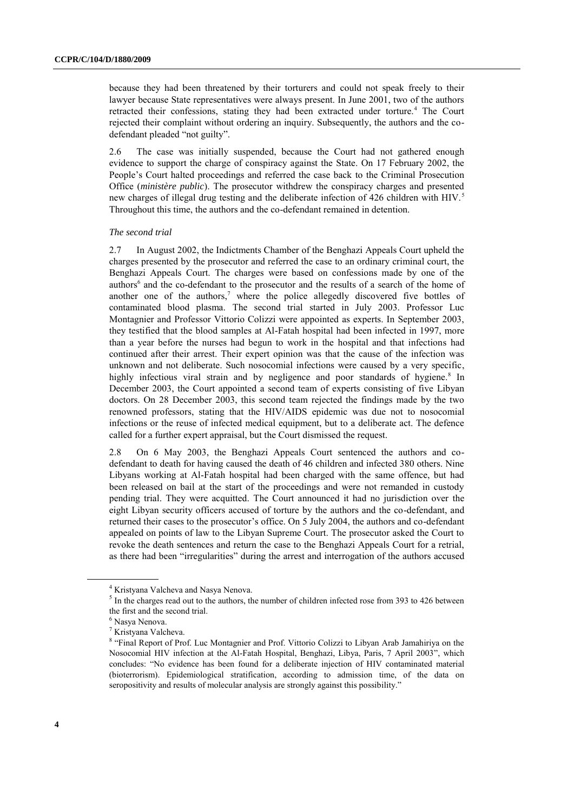because they had been threatened by their torturers and could not speak freely to their lawyer because State representatives were always present. In June 2001, two of the authors retracted their confessions, stating they had been extracted under torture.<sup>4</sup> The Court rejected their complaint without ordering an inquiry. Subsequently, the authors and the codefendant pleaded "not guilty".

2.6 The case was initially suspended, because the Court had not gathered enough evidence to support the charge of conspiracy against the State. On 17 February 2002, the People's Court halted proceedings and referred the case back to the Criminal Prosecution Office (*ministère public*). The prosecutor withdrew the conspiracy charges and presented new charges of illegal drug testing and the deliberate infection of 426 children with  $HIV<sup>5</sup>$ Throughout this time, the authors and the co-defendant remained in detention.

#### *The second trial*

2.7 In August 2002, the Indictments Chamber of the Benghazi Appeals Court upheld the charges presented by the prosecutor and referred the case to an ordinary criminal court, the Benghazi Appeals Court. The charges were based on confessions made by one of the authors<sup>6</sup> and the co-defendant to the prosecutor and the results of a search of the home of another one of the authors, <sup>7</sup> where the police allegedly discovered five bottles of contaminated blood plasma. The second trial started in July 2003. Professor Luc Montagnier and Professor Vittorio Colizzi were appointed as experts. In September 2003, they testified that the blood samples at Al-Fatah hospital had been infected in 1997, more than a year before the nurses had begun to work in the hospital and that infections had continued after their arrest. Their expert opinion was that the cause of the infection was unknown and not deliberate. Such nosocomial infections were caused by a very specific, highly infectious viral strain and by negligence and poor standards of hygiene.<sup>8</sup> In December 2003, the Court appointed a second team of experts consisting of five Libyan doctors. On 28 December 2003, this second team rejected the findings made by the two renowned professors, stating that the HIV/AIDS epidemic was due not to nosocomial infections or the reuse of infected medical equipment, but to a deliberate act. The defence called for a further expert appraisal, but the Court dismissed the request.

2.8 On 6 May 2003, the Benghazi Appeals Court sentenced the authors and codefendant to death for having caused the death of 46 children and infected 380 others. Nine Libyans working at Al-Fatah hospital had been charged with the same offence, but had been released on bail at the start of the proceedings and were not remanded in custody pending trial. They were acquitted. The Court announced it had no jurisdiction over the eight Libyan security officers accused of torture by the authors and the co-defendant, and returned their cases to the prosecutor's office. On 5 July 2004, the authors and co-defendant appealed on points of law to the Libyan Supreme Court. The prosecutor asked the Court to revoke the death sentences and return the case to the Benghazi Appeals Court for a retrial, as there had been "irregularities" during the arrest and interrogation of the authors accused

<sup>4</sup> Kristyana Valcheva and Nasya Nenova.

<sup>&</sup>lt;sup>5</sup> In the charges read out to the authors, the number of children infected rose from 393 to 426 between the first and the second trial.

<sup>6</sup> Nasya Nenova.

<sup>7</sup> Kristyana Valcheva.

<sup>&</sup>lt;sup>8</sup> "Final Report of Prof. Luc Montagnier and Prof. Vittorio Colizzi to Libyan Arab Jamahiriya on the Nosocomial HIV infection at the Al-Fatah Hospital, Benghazi, Libya, Paris, 7 April 2003", which concludes: "No evidence has been found for a deliberate injection of HIV contaminated material (bioterrorism). Epidemiological stratification, according to admission time, of the data on seropositivity and results of molecular analysis are strongly against this possibility."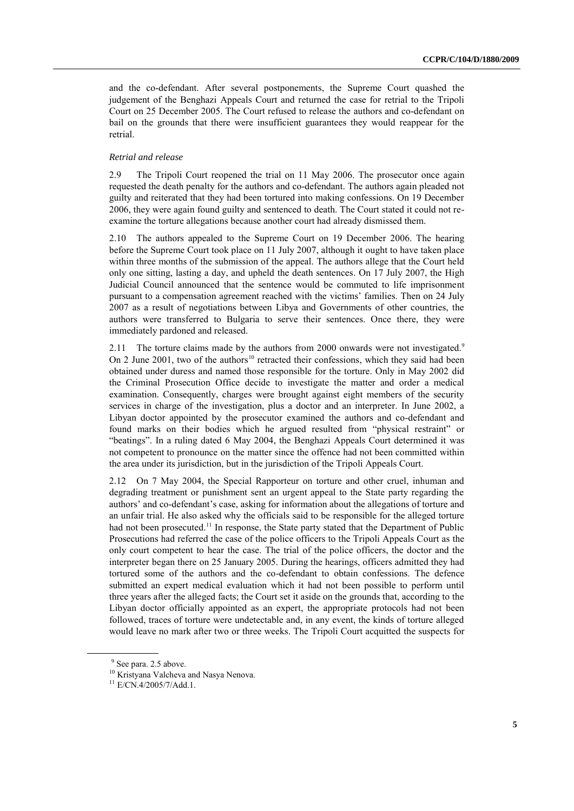and the co-defendant. After several postponements, the Supreme Court quashed the judgement of the Benghazi Appeals Court and returned the case for retrial to the Tripoli Court on 25 December 2005. The Court refused to release the authors and co-defendant on bail on the grounds that there were insufficient guarantees they would reappear for the retrial.

#### *Retrial and release*

2.9 The Tripoli Court reopened the trial on 11 May 2006. The prosecutor once again requested the death penalty for the authors and co-defendant. The authors again pleaded not guilty and reiterated that they had been tortured into making confessions. On 19 December 2006, they were again found guilty and sentenced to death. The Court stated it could not reexamine the torture allegations because another court had already dismissed them.

2.10 The authors appealed to the Supreme Court on 19 December 2006. The hearing before the Supreme Court took place on 11 July 2007, although it ought to have taken place within three months of the submission of the appeal. The authors allege that the Court held only one sitting, lasting a day, and upheld the death sentences. On 17 July 2007, the High Judicial Council announced that the sentence would be commuted to life imprisonment pursuant to a compensation agreement reached with the victims' families. Then on 24 July 2007 as a result of negotiations between Libya and Governments of other countries, the authors were transferred to Bulgaria to serve their sentences. Once there, they were immediately pardoned and released.

2.11 The torture claims made by the authors from 2000 onwards were not investigated.<sup>9</sup> On 2 June 2001, two of the authors<sup>10</sup> retracted their confessions, which they said had been obtained under duress and named those responsible for the torture. Only in May 2002 did the Criminal Prosecution Office decide to investigate the matter and order a medical examination. Consequently, charges were brought against eight members of the security services in charge of the investigation, plus a doctor and an interpreter. In June 2002, a Libyan doctor appointed by the prosecutor examined the authors and co-defendant and found marks on their bodies which he argued resulted from "physical restraint" or "beatings". In a ruling dated 6 May 2004, the Benghazi Appeals Court determined it was not competent to pronounce on the matter since the offence had not been committed within the area under its jurisdiction, but in the jurisdiction of the Tripoli Appeals Court.

2.12 On 7 May 2004, the Special Rapporteur on torture and other cruel, inhuman and degrading treatment or punishment sent an urgent appeal to the State party regarding the authors' and co-defendant's case, asking for information about the allegations of torture and an unfair trial. He also asked why the officials said to be responsible for the alleged torture had not been prosecuted.<sup>11</sup> In response, the State party stated that the Department of Public Prosecutions had referred the case of the police officers to the Tripoli Appeals Court as the only court competent to hear the case. The trial of the police officers, the doctor and the interpreter began there on 25 January 2005. During the hearings, officers admitted they had tortured some of the authors and the co-defendant to obtain confessions. The defence submitted an expert medical evaluation which it had not been possible to perform until three years after the alleged facts; the Court set it aside on the grounds that, according to the Libyan doctor officially appointed as an expert, the appropriate protocols had not been followed, traces of torture were undetectable and, in any event, the kinds of torture alleged would leave no mark after two or three weeks. The Tripoli Court acquitted the suspects for

<sup>&</sup>lt;sup>9</sup> See para. 2.5 above.

<sup>&</sup>lt;sup>10</sup> Kristyana Valcheva and Nasya Nenova.

 $11$  E/CN.4/2005/7/Add.1.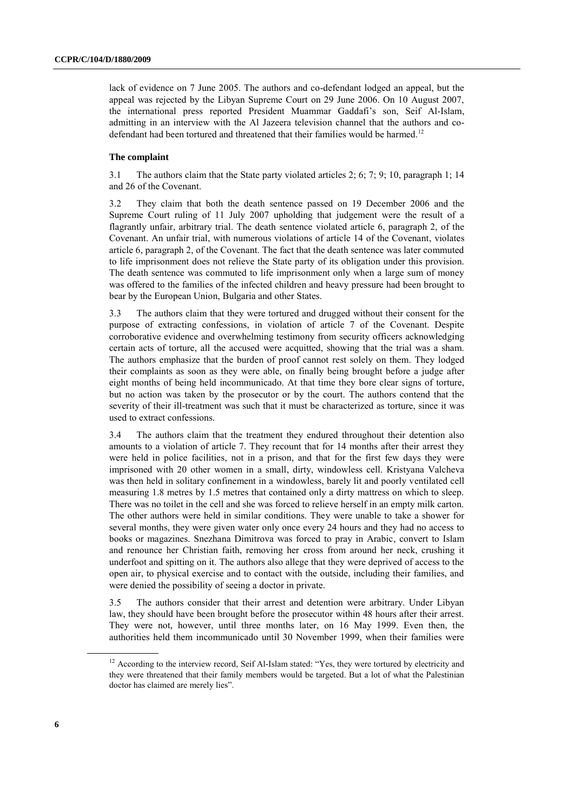lack of evidence on 7 June 2005. The authors and co-defendant lodged an appeal, but the appeal was rejected by the Libyan Supreme Court on 29 June 2006. On 10 August 2007, the international press reported President Muammar Gaddafi's son, Seif Al-Islam, admitting in an interview with the Al Jazeera television channel that the authors and codefendant had been tortured and threatened that their families would be harmed.<sup>12</sup>

#### **The complaint**

3.1 The authors claim that the State party violated articles 2; 6; 7; 9; 10, paragraph 1; 14 and 26 of the Covenant.

3.2 They claim that both the death sentence passed on 19 December 2006 and the Supreme Court ruling of 11 July 2007 upholding that judgement were the result of a flagrantly unfair, arbitrary trial. The death sentence violated article 6, paragraph 2, of the Covenant. An unfair trial, with numerous violations of article 14 of the Covenant, violates article 6, paragraph 2, of the Covenant. The fact that the death sentence was later commuted to life imprisonment does not relieve the State party of its obligation under this provision. The death sentence was commuted to life imprisonment only when a large sum of money was offered to the families of the infected children and heavy pressure had been brought to bear by the European Union, Bulgaria and other States.

3.3 The authors claim that they were tortured and drugged without their consent for the purpose of extracting confessions, in violation of article 7 of the Covenant. Despite corroborative evidence and overwhelming testimony from security officers acknowledging certain acts of torture, all the accused were acquitted, showing that the trial was a sham. The authors emphasize that the burden of proof cannot rest solely on them. They lodged their complaints as soon as they were able, on finally being brought before a judge after eight months of being held incommunicado. At that time they bore clear signs of torture, but no action was taken by the prosecutor or by the court. The authors contend that the severity of their ill-treatment was such that it must be characterized as torture, since it was used to extract confessions.

3.4 The authors claim that the treatment they endured throughout their detention also amounts to a violation of article 7. They recount that for 14 months after their arrest they were held in police facilities, not in a prison, and that for the first few days they were imprisoned with 20 other women in a small, dirty, windowless cell. Kristyana Valcheva was then held in solitary confinement in a windowless, barely lit and poorly ventilated cell measuring 1.8 metres by 1.5 metres that contained only a dirty mattress on which to sleep. There was no toilet in the cell and she was forced to relieve herself in an empty milk carton. The other authors were held in similar conditions. They were unable to take a shower for several months, they were given water only once every 24 hours and they had no access to books or magazines. Snezhana Dimitrova was forced to pray in Arabic, convert to Islam and renounce her Christian faith, removing her cross from around her neck, crushing it underfoot and spitting on it. The authors also allege that they were deprived of access to the open air, to physical exercise and to contact with the outside, including their families, and were denied the possibility of seeing a doctor in private.

3.5 The authors consider that their arrest and detention were arbitrary. Under Libyan law, they should have been brought before the prosecutor within 48 hours after their arrest. They were not, however, until three months later, on 16 May 1999. Even then, the authorities held them incommunicado until 30 November 1999, when their families were

<sup>&</sup>lt;sup>12</sup> According to the interview record, Seif Al-Islam stated: "Yes, they were tortured by electricity and they were threatened that their family members would be targeted. But a lot of what the Palestinian doctor has claimed are merely lies".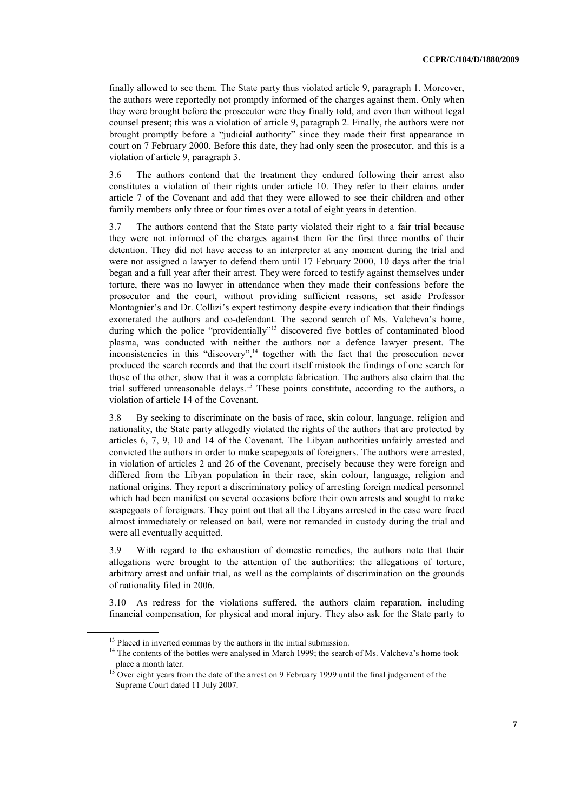finally allowed to see them. The State party thus violated article 9, paragraph 1. Moreover, the authors were reportedly not promptly informed of the charges against them. Only when they were brought before the prosecutor were they finally told, and even then without legal counsel present; this was a violation of article 9, paragraph 2. Finally, the authors were not brought promptly before a "judicial authority" since they made their first appearance in court on 7 February 2000. Before this date, they had only seen the prosecutor, and this is a violation of article 9, paragraph 3.

3.6 The authors contend that the treatment they endured following their arrest also constitutes a violation of their rights under article 10. They refer to their claims under article 7 of the Covenant and add that they were allowed to see their children and other family members only three or four times over a total of eight years in detention.

3.7 The authors contend that the State party violated their right to a fair trial because they were not informed of the charges against them for the first three months of their detention. They did not have access to an interpreter at any moment during the trial and were not assigned a lawyer to defend them until 17 February 2000, 10 days after the trial began and a full year after their arrest. They were forced to testify against themselves under torture, there was no lawyer in attendance when they made their confessions before the prosecutor and the court, without providing sufficient reasons, set aside Professor Montagnier's and Dr. Collizi's expert testimony despite every indication that their findings exonerated the authors and co-defendant. The second search of Ms. Valcheva's home, during which the police "providentially"<sup>13</sup> discovered five bottles of contaminated blood plasma, was conducted with neither the authors nor a defence lawyer present. The  $\frac{1}{2}$  inconsistencies in this "discovery",<sup>14</sup> together with the fact that the prosecution never produced the search records and that the court itself mistook the findings of one search for those of the other, show that it was a complete fabrication. The authors also claim that the trial suffered unreasonable delays.<sup>15</sup> These points constitute, according to the authors, a violation of article 14 of the Covenant.

3.8 By seeking to discriminate on the basis of race, skin colour, language, religion and nationality, the State party allegedly violated the rights of the authors that are protected by articles 6, 7, 9, 10 and 14 of the Covenant. The Libyan authorities unfairly arrested and convicted the authors in order to make scapegoats of foreigners. The authors were arrested, in violation of articles 2 and 26 of the Covenant, precisely because they were foreign and differed from the Libyan population in their race, skin colour, language, religion and national origins. They report a discriminatory policy of arresting foreign medical personnel which had been manifest on several occasions before their own arrests and sought to make scapegoats of foreigners. They point out that all the Libyans arrested in the case were freed almost immediately or released on bail, were not remanded in custody during the trial and were all eventually acquitted.

3.9 With regard to the exhaustion of domestic remedies, the authors note that their allegations were brought to the attention of the authorities: the allegations of torture, arbitrary arrest and unfair trial, as well as the complaints of discrimination on the grounds of nationality filed in 2006.

3.10 As redress for the violations suffered, the authors claim reparation, including financial compensation, for physical and moral injury. They also ask for the State party to

<sup>&</sup>lt;sup>13</sup> Placed in inverted commas by the authors in the initial submission.

<sup>&</sup>lt;sup>14</sup> The contents of the bottles were analysed in March 1999; the search of Ms. Valcheva's home took place a month later.

<sup>&</sup>lt;sup>15</sup> Over eight years from the date of the arrest on 9 February 1999 until the final judgement of the Supreme Court dated 11 July 2007.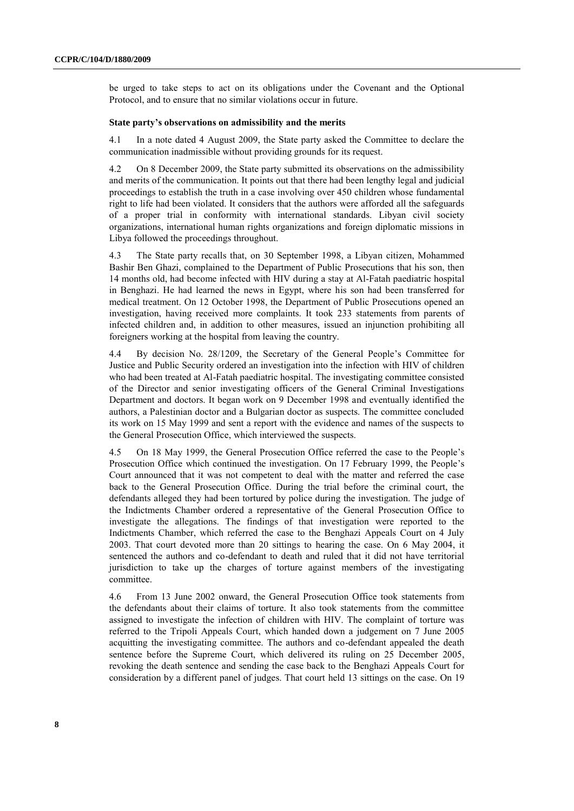be urged to take steps to act on its obligations under the Covenant and the Optional Protocol, and to ensure that no similar violations occur in future.

#### **State party's observations on admissibility and the merits**

4.1 In a note dated 4 August 2009, the State party asked the Committee to declare the communication inadmissible without providing grounds for its request.

4.2 On 8 December 2009, the State party submitted its observations on the admissibility and merits of the communication. It points out that there had been lengthy legal and judicial proceedings to establish the truth in a case involving over 450 children whose fundamental right to life had been violated. It considers that the authors were afforded all the safeguards of a proper trial in conformity with international standards. Libyan civil society organizations, international human rights organizations and foreign diplomatic missions in Libya followed the proceedings throughout.

4.3 The State party recalls that, on 30 September 1998, a Libyan citizen, Mohammed Bashir Ben Ghazi, complained to the Department of Public Prosecutions that his son, then 14 months old, had become infected with HIV during a stay at Al-Fatah paediatric hospital in Benghazi. He had learned the news in Egypt, where his son had been transferred for medical treatment. On 12 October 1998, the Department of Public Prosecutions opened an investigation, having received more complaints. It took 233 statements from parents of infected children and, in addition to other measures, issued an injunction prohibiting all foreigners working at the hospital from leaving the country.

4.4 By decision No. 28/1209, the Secretary of the General People's Committee for Justice and Public Security ordered an investigation into the infection with HIV of children who had been treated at Al-Fatah paediatric hospital. The investigating committee consisted of the Director and senior investigating officers of the General Criminal Investigations Department and doctors. It began work on 9 December 1998 and eventually identified the authors, a Palestinian doctor and a Bulgarian doctor as suspects. The committee concluded its work on 15 May 1999 and sent a report with the evidence and names of the suspects to the General Prosecution Office, which interviewed the suspects.

4.5 On 18 May 1999, the General Prosecution Office referred the case to the People's Prosecution Office which continued the investigation. On 17 February 1999, the People's Court announced that it was not competent to deal with the matter and referred the case back to the General Prosecution Office. During the trial before the criminal court, the defendants alleged they had been tortured by police during the investigation. The judge of the Indictments Chamber ordered a representative of the General Prosecution Office to investigate the allegations. The findings of that investigation were reported to the Indictments Chamber, which referred the case to the Benghazi Appeals Court on 4 July 2003. That court devoted more than 20 sittings to hearing the case. On 6 May 2004, it sentenced the authors and co-defendant to death and ruled that it did not have territorial jurisdiction to take up the charges of torture against members of the investigating committee.

4.6 From 13 June 2002 onward, the General Prosecution Office took statements from the defendants about their claims of torture. It also took statements from the committee assigned to investigate the infection of children with HIV. The complaint of torture was referred to the Tripoli Appeals Court, which handed down a judgement on 7 June 2005 acquitting the investigating committee. The authors and co-defendant appealed the death sentence before the Supreme Court, which delivered its ruling on 25 December 2005, revoking the death sentence and sending the case back to the Benghazi Appeals Court for consideration by a different panel of judges. That court held 13 sittings on the case. On 19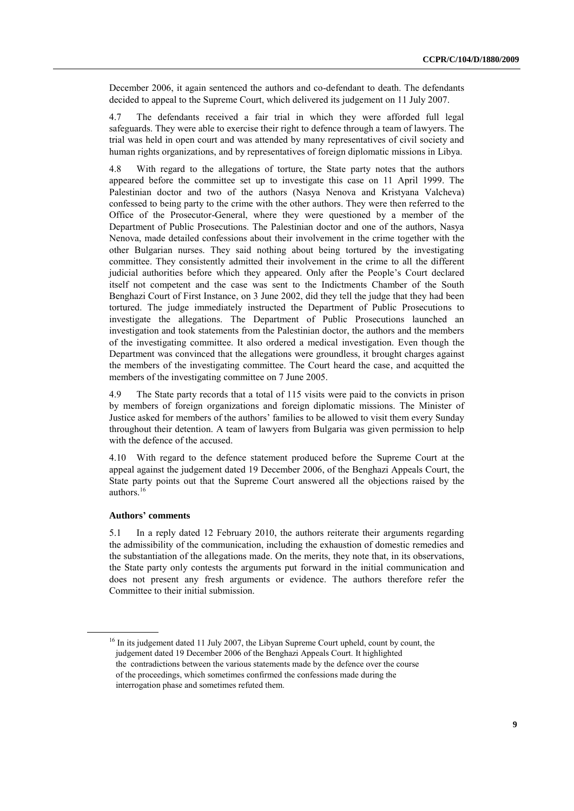December 2006, it again sentenced the authors and co-defendant to death. The defendants decided to appeal to the Supreme Court, which delivered its judgement on 11 July 2007.

4.7 The defendants received a fair trial in which they were afforded full legal safeguards. They were able to exercise their right to defence through a team of lawyers. The trial was held in open court and was attended by many representatives of civil society and human rights organizations, and by representatives of foreign diplomatic missions in Libya.

4.8 With regard to the allegations of torture, the State party notes that the authors appeared before the committee set up to investigate this case on 11 April 1999. The Palestinian doctor and two of the authors (Nasya Nenova and Kristyana Valcheva) confessed to being party to the crime with the other authors. They were then referred to the Office of the Prosecutor-General, where they were questioned by a member of the Department of Public Prosecutions. The Palestinian doctor and one of the authors, Nasya Nenova, made detailed confessions about their involvement in the crime together with the other Bulgarian nurses. They said nothing about being tortured by the investigating committee. They consistently admitted their involvement in the crime to all the different judicial authorities before which they appeared. Only after the People's Court declared itself not competent and the case was sent to the Indictments Chamber of the South Benghazi Court of First Instance, on 3 June 2002, did they tell the judge that they had been tortured. The judge immediately instructed the Department of Public Prosecutions to investigate the allegations. The Department of Public Prosecutions launched an investigation and took statements from the Palestinian doctor, the authors and the members of the investigating committee. It also ordered a medical investigation. Even though the Department was convinced that the allegations were groundless, it brought charges against the members of the investigating committee. The Court heard the case, and acquitted the members of the investigating committee on 7 June 2005.

4.9 The State party records that a total of 115 visits were paid to the convicts in prison by members of foreign organizations and foreign diplomatic missions. The Minister of Justice asked for members of the authors' families to be allowed to visit them every Sunday throughout their detention. A team of lawyers from Bulgaria was given permission to help with the defence of the accused.

4.10 With regard to the defence statement produced before the Supreme Court at the appeal against the judgement dated 19 December 2006, of the Benghazi Appeals Court, the State party points out that the Supreme Court answered all the objections raised by the authors.<sup>16</sup>

#### **Authors' comments**

5.1 In a reply dated 12 February 2010, the authors reiterate their arguments regarding the admissibility of the communication, including the exhaustion of domestic remedies and the substantiation of the allegations made. On the merits, they note that, in its observations, the State party only contests the arguments put forward in the initial communication and does not present any fresh arguments or evidence. The authors therefore refer the Committee to their initial submission.

<sup>&</sup>lt;sup>16</sup> In its judgement dated 11 July 2007, the Libyan Supreme Court upheld, count by count, the judgement dated 19 December 2006 of the Benghazi Appeals Court. It highlighted the contradictions between the various statements made by the defence over the course of the proceedings, which sometimes confirmed the confessions made during the interrogation phase and sometimes refuted them.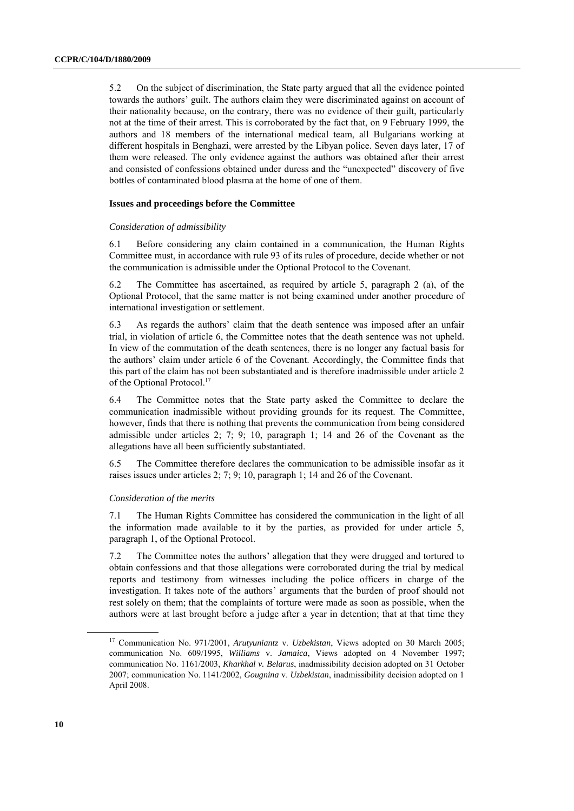5.2 On the subject of discrimination, the State party argued that all the evidence pointed towards the authors' guilt. The authors claim they were discriminated against on account of their nationality because, on the contrary, there was no evidence of their guilt, particularly not at the time of their arrest. This is corroborated by the fact that, on 9 February 1999, the authors and 18 members of the international medical team, all Bulgarians working at different hospitals in Benghazi, were arrested by the Libyan police. Seven days later, 17 of them were released. The only evidence against the authors was obtained after their arrest and consisted of confessions obtained under duress and the "unexpected" discovery of five bottles of contaminated blood plasma at the home of one of them.

#### **Issues and proceedings before the Committee**

#### *Consideration of admissibility*

6.1 Before considering any claim contained in a communication, the Human Rights Committee must, in accordance with rule 93 of its rules of procedure, decide whether or not the communication is admissible under the Optional Protocol to the Covenant.

6.2 The Committee has ascertained, as required by article 5, paragraph 2 (a), of the Optional Protocol, that the same matter is not being examined under another procedure of international investigation or settlement.

6.3 As regards the authors' claim that the death sentence was imposed after an unfair trial, in violation of article 6, the Committee notes that the death sentence was not upheld. In view of the commutation of the death sentences, there is no longer any factual basis for the authors' claim under article 6 of the Covenant. Accordingly, the Committee finds that this part of the claim has not been substantiated and is therefore inadmissible under article 2 of the Optional Protocol.<sup>17</sup>

6.4 The Committee notes that the State party asked the Committee to declare the communication inadmissible without providing grounds for its request. The Committee, however, finds that there is nothing that prevents the communication from being considered admissible under articles  $2$ ;  $7$ ;  $9$ ;  $10$ , paragraph 1;  $14$  and  $26$  of the Covenant as the allegations have all been sufficiently substantiated.

6.5 The Committee therefore declares the communication to be admissible insofar as it raises issues under articles 2; 7; 9; 10, paragraph 1; 14 and 26 of the Covenant.

#### *Consideration of the merits*

7.1 The Human Rights Committee has considered the communication in the light of all the information made available to it by the parties, as provided for under article 5, paragraph 1, of the Optional Protocol.

7.2 The Committee notes the authors' allegation that they were drugged and tortured to obtain confessions and that those allegations were corroborated during the trial by medical reports and testimony from witnesses including the police officers in charge of the investigation. It takes note of the authors' arguments that the burden of proof should not rest solely on them; that the complaints of torture were made as soon as possible, when the authors were at last brought before a judge after a year in detention; that at that time they

<sup>17</sup> Communication No. 971/2001, *Arutyuniantz* v. *Uzbekistan*, Views adopted on 30 March 2005; communication No. 609/1995, *Williams* v. *Jamaica*, Views adopted on 4 November 1997; communication No. 1161/2003, *Kharkhal v. Belarus*, inadmissibility decision adopted on 31 October 2007; communication No. 1141/2002, *Gougnina* v. *Uzbekistan*, inadmissibility decision adopted on 1 April 2008.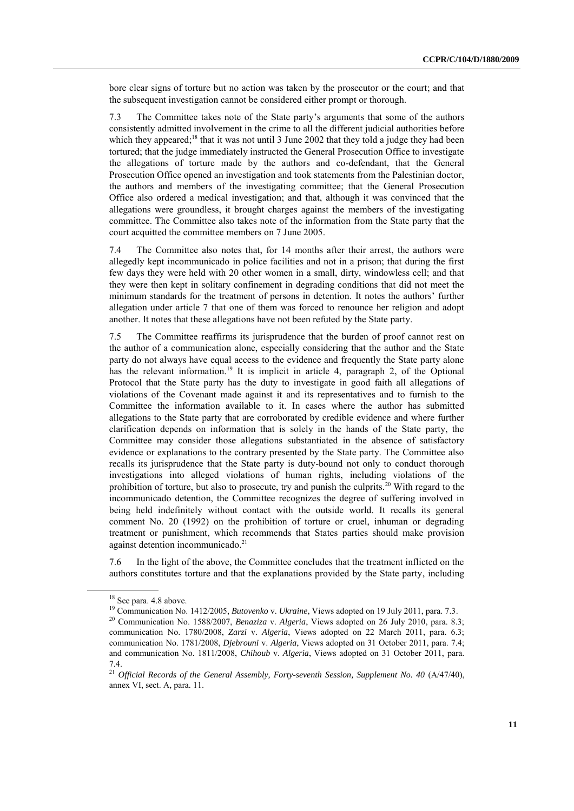bore clear signs of torture but no action was taken by the prosecutor or the court; and that the subsequent investigation cannot be considered either prompt or thorough.

7.3 The Committee takes note of the State party's arguments that some of the authors consistently admitted involvement in the crime to all the different judicial authorities before which they appeared;<sup>18</sup> that it was not until 3 June 2002 that they told a judge they had been tortured; that the judge immediately instructed the General Prosecution Office to investigate the allegations of torture made by the authors and co-defendant, that the General Prosecution Office opened an investigation and took statements from the Palestinian doctor, the authors and members of the investigating committee; that the General Prosecution Office also ordered a medical investigation; and that, although it was convinced that the allegations were groundless, it brought charges against the members of the investigating committee. The Committee also takes note of the information from the State party that the court acquitted the committee members on 7 June 2005.

7.4 The Committee also notes that, for 14 months after their arrest, the authors were allegedly kept incommunicado in police facilities and not in a prison; that during the first few days they were held with 20 other women in a small, dirty, windowless cell; and that they were then kept in solitary confinement in degrading conditions that did not meet the minimum standards for the treatment of persons in detention. It notes the authors' further allegation under article 7 that one of them was forced to renounce her religion and adopt another. It notes that these allegations have not been refuted by the State party.

7.5 The Committee reaffirms its jurisprudence that the burden of proof cannot rest on the author of a communication alone, especially considering that the author and the State party do not always have equal access to the evidence and frequently the State party alone has the relevant information.<sup>19</sup> It is implicit in article 4, paragraph 2, of the Optional Protocol that the State party has the duty to investigate in good faith all allegations of violations of the Covenant made against it and its representatives and to furnish to the Committee the information available to it. In cases where the author has submitted allegations to the State party that are corroborated by credible evidence and where further clarification depends on information that is solely in the hands of the State party, the Committee may consider those allegations substantiated in the absence of satisfactory evidence or explanations to the contrary presented by the State party. The Committee also recalls its jurisprudence that the State party is duty-bound not only to conduct thorough investigations into alleged violations of human rights, including violations of the prohibition of torture, but also to prosecute, try and punish the culprits.<sup>20</sup> With regard to the incommunicado detention, the Committee recognizes the degree of suffering involved in being held indefinitely without contact with the outside world. It recalls its general comment No. 20 (1992) on the prohibition of torture or cruel, inhuman or degrading treatment or punishment, which recommends that States parties should make provision against detention incommunicado.<sup>21</sup>

7.6 In the light of the above, the Committee concludes that the treatment inflicted on the authors constitutes torture and that the explanations provided by the State party, including

<sup>&</sup>lt;sup>18</sup> See para. 4.8 above.

<sup>19</sup> Communication No. 1412/2005, *Butovenko* v. *Ukraine*, Views adopted on 19 July 2011, para. 7.3.

<sup>20</sup> Communication No. 1588/2007, *Benaziza* v. *Algeria*, Views adopted on 26 July 2010, para. 8.3; communication No. 1780/2008, *Zarzi* v. *Algeria*, Views adopted on 22 March 2011, para. 6.3; communication No. 1781/2008, *Djebrouni* v. *Algeria*, Views adopted on 31 October 2011, para. 7.4; and communication No. 1811/2008, *Chihoub* v. *Algeria*, Views adopted on 31 October 2011, para. 7.4.

<sup>&</sup>lt;sup>21</sup> Official Records of the General Assembly, Forty-seventh Session, Supplement No. 40 (A/47/40), annex VI, sect. A, para. 11.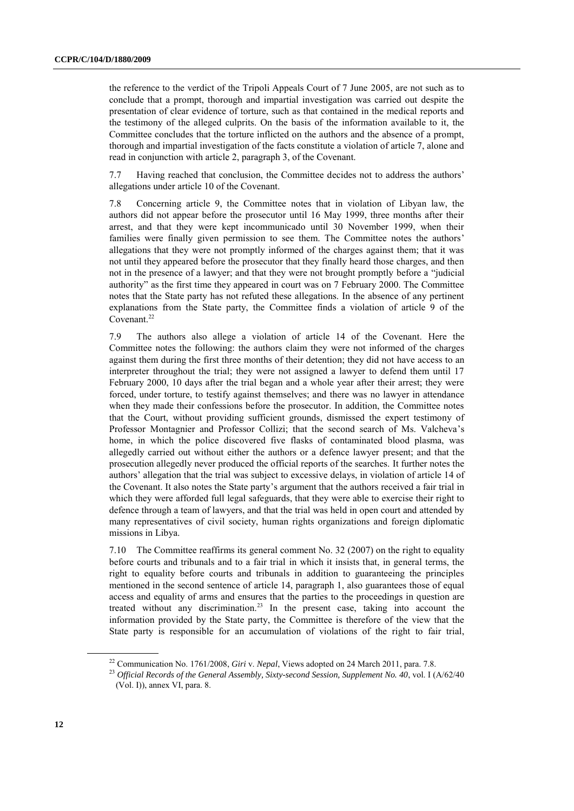the reference to the verdict of the Tripoli Appeals Court of 7 June 2005, are not such as to conclude that a prompt, thorough and impartial investigation was carried out despite the presentation of clear evidence of torture, such as that contained in the medical reports and the testimony of the alleged culprits. On the basis of the information available to it, the Committee concludes that the torture inflicted on the authors and the absence of a prompt, thorough and impartial investigation of the facts constitute a violation of article 7, alone and read in conjunction with article 2, paragraph 3, of the Covenant.

7.7 Having reached that conclusion, the Committee decides not to address the authors' allegations under article 10 of the Covenant.

7.8 Concerning article 9, the Committee notes that in violation of Libyan law, the authors did not appear before the prosecutor until 16 May 1999, three months after their arrest, and that they were kept incommunicado until 30 November 1999, when their families were finally given permission to see them. The Committee notes the authors' allegations that they were not promptly informed of the charges against them; that it was not until they appeared before the prosecutor that they finally heard those charges, and then not in the presence of a lawyer; and that they were not brought promptly before a "judicial authority" as the first time they appeared in court was on 7 February 2000. The Committee notes that the State party has not refuted these allegations. In the absence of any pertinent explanations from the State party, the Committee finds a violation of article 9 of the Covenant.<sup>22</sup>

7.9 The authors also allege a violation of article 14 of the Covenant. Here the Committee notes the following: the authors claim they were not informed of the charges against them during the first three months of their detention; they did not have access to an interpreter throughout the trial; they were not assigned a lawyer to defend them until 17 February 2000, 10 days after the trial began and a whole year after their arrest; they were forced, under torture, to testify against themselves; and there was no lawyer in attendance when they made their confessions before the prosecutor. In addition, the Committee notes that the Court, without providing sufficient grounds, dismissed the expert testimony of Professor Montagnier and Professor Collizi; that the second search of Ms. Valcheva's home, in which the police discovered five flasks of contaminated blood plasma, was allegedly carried out without either the authors or a defence lawyer present; and that the prosecution allegedly never produced the official reports of the searches. It further notes the authors' allegation that the trial was subject to excessive delays, in violation of article 14 of the Covenant. It also notes the State party's argument that the authors received a fair trial in which they were afforded full legal safeguards, that they were able to exercise their right to defence through a team of lawyers, and that the trial was held in open court and attended by many representatives of civil society, human rights organizations and foreign diplomatic missions in Libya.

7.10 The Committee reaffirms its general comment No. 32 (2007) on the right to equality before courts and tribunals and to a fair trial in which it insists that, in general terms, the right to equality before courts and tribunals in addition to guaranteeing the principles mentioned in the second sentence of article 14, paragraph 1, also guarantees those of equal access and equality of arms and ensures that the parties to the proceedings in question are treated without any discrimination.<sup>23</sup> In the present case, taking into account the information provided by the State party, the Committee is therefore of the view that the State party is responsible for an accumulation of violations of the right to fair trial,

<sup>22</sup> Communication No. 1761/2008, *Giri* v. *Nepal*, Views adopted on 24 March 2011, para. 7.8.

<sup>23</sup> *Official Records of the General Assembly, Sixty-second Session, Supplement No. 40*, vol. I (A/62/40 (Vol. I)), annex VI, para. 8.